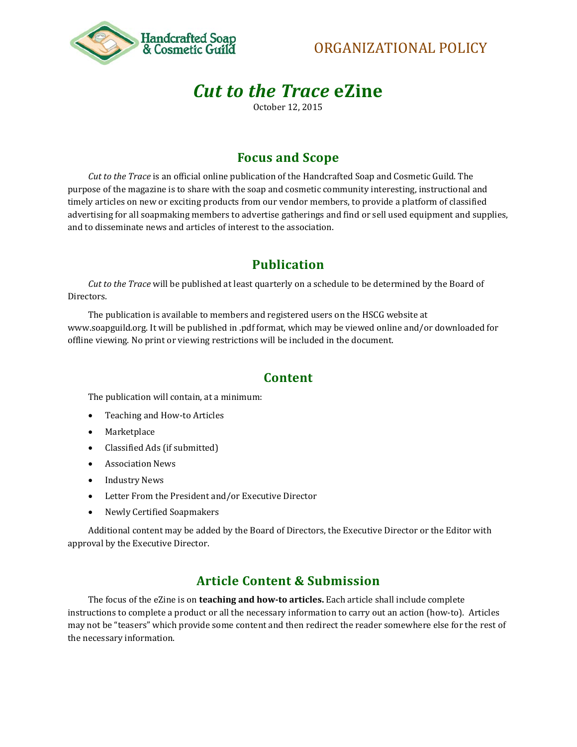

# ORGANIZATIONAL POLICY

# *Cut to the Trace* **eZine**

October 12, 2015

### **Focus and Scope**

*Cut to the Trace* is an official online publication of the Handcrafted Soap and Cosmetic Guild. The purpose of the magazine is to share with the soap and cosmetic community interesting, instructional and timely articles on new or exciting products from our vendor members, to provide a platform of classified advertising for all soapmaking members to advertise gatherings and find or sell used equipment and supplies, and to disseminate news and articles of interest to the association.

## **Publication**

*Cut to the Trace* will be published at least quarterly on a schedule to be determined by the Board of Directors.

The publication is available to members and registered users on the HSCG website at www.soapguild.org. It will be published in .pdf format, which may be viewed online and/or downloaded for offline viewing. No print or viewing restrictions will be included in the document.

#### **Content**

The publication will contain, at a minimum:

- Teaching and How-to Articles
- Marketplace
- Classified Ads (if submitted)
- Association News
- Industry News
- Letter From the President and/or Executive Director
- Newly Certified Soapmakers

Additional content may be added by the Board of Directors, the Executive Director or the Editor with approval by the Executive Director.

### **Article Content & Submission**

The focus of the eZine is on **teaching and how-to articles.** Each article shall include complete instructions to complete a product or all the necessary information to carry out an action (how-to). Articles may not be "teasers" which provide some content and then redirect the reader somewhere else for the rest of the necessary information.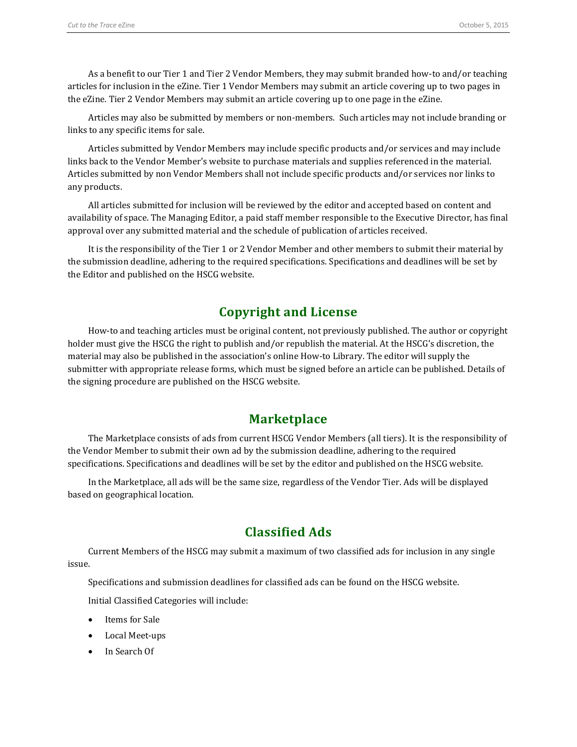As a benefit to our Tier 1 and Tier 2 Vendor Members, they may submit branded how-to and/or teaching articles for inclusion in the eZine. Tier 1 Vendor Members may submit an article covering up to two pages in the eZine. Tier 2 Vendor Members may submit an article covering up to one page in the eZine.

Articles may also be submitted by members or non-members. Such articles may not include branding or links to any specific items for sale.

Articles submitted by Vendor Members may include specific products and/or services and may include links back to the Vendor Member's website to purchase materials and supplies referenced in the material. Articles submitted by non Vendor Members shall not include specific products and/or services nor links to any products.

All articles submitted for inclusion will be reviewed by the editor and accepted based on content and availability of space. The Managing Editor, a paid staff member responsible to the Executive Director, has final approval over any submitted material and the schedule of publication of articles received.

It is the responsibility of the Tier 1 or 2 Vendor Member and other members to submit their material by the submission deadline, adhering to the required specifications. Specifications and deadlines will be set by the Editor and published on the HSCG website.

### **Copyright and License**

How-to and teaching articles must be original content, not previously published. The author or copyright holder must give the HSCG the right to publish and/or republish the material. At the HSCG's discretion, the material may also be published in the association's online How-to Library. The editor will supply the submitter with appropriate release forms, which must be signed before an article can be published. Details of the signing procedure are published on the HSCG website.

#### **Marketplace**

The Marketplace consists of ads from current HSCG Vendor Members (all tiers). It is the responsibility of the Vendor Member to submit their own ad by the submission deadline, adhering to the required specifications. Specifications and deadlines will be set by the editor and published on the HSCG website.

In the Marketplace, all ads will be the same size, regardless of the Vendor Tier. Ads will be displayed based on geographical location.

#### **Classified Ads**

Current Members of the HSCG may submit a maximum of two classified ads for inclusion in any single issue.

Specifications and submission deadlines for classified ads can be found on the HSCG website.

Initial Classified Categories will include:

- Items for Sale
- Local Meet-ups
- In Search Of